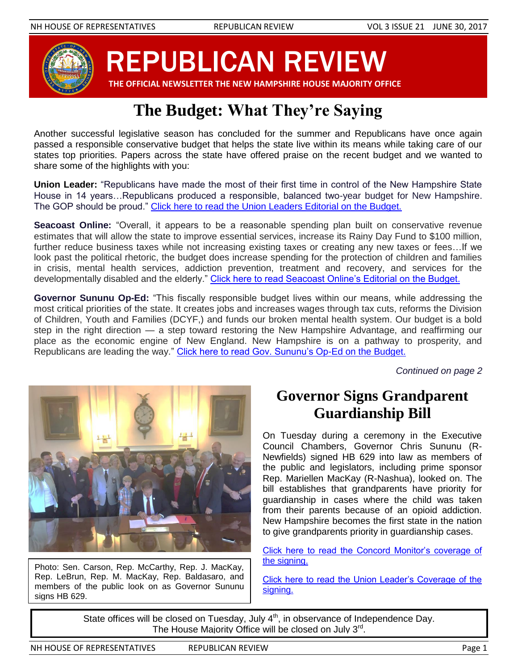

REPUBLICAN REVIEW

 **THE OFFICIAL NEWSLETTER THE NEW HAMPSHIRE HOUSE MAJORITY OFFICE**

# **The Budget: What They're Saying**

Another successful legislative season has concluded for the summer and Republicans have once again passed a responsible conservative budget that helps the state live within its means while taking care of our states top priorities. Papers across the state have offered praise on the recent budget and we wanted to share some of the highlights with you:

**Union Leader:** "Republicans have made the most of their first time in control of the New Hampshire State House in 14 years…Republicans produced a responsible, balanced two-year budget for New Hampshire. The GOP should be proud." [Click here to read the Union Leaders Editorial on the Budget.](http://www.unionleader.com/editorial/Budget-balance-GOP-addresses-NH-priorities-06262017)

**Seacoast Online:** "Overall, it appears to be a reasonable spending plan built on conservative revenue estimates that will allow the state to improve essential services, increase its Rainy Day Fund to \$100 million, further reduce business taxes while not increasing existing taxes or creating any new taxes or fees…If we look past the political rhetoric, the budget does increase spending for the protection of children and families in crisis, mental health services, addiction prevention, treatment and recovery, and services for the developmentally disabled and the elderly." [Click here to read Seacoast Online's Editorial on the Budget.](http://www.seacoastonline.com/news/20170625/nh-passes-reasonable-budget)

**Governor Sununu Op-Ed:** "This fiscally responsible budget lives within our means, while addressing the most critical priorities of the state. It creates jobs and increases wages through tax cuts, reforms the Division of Children, Youth and Families (DCYF,) and funds our broken mental health system. Our budget is a bold step in the right direction — a step toward restoring the New Hampshire Advantage, and reaffirming our place as the economic engine of New England. New Hampshire is on a pathway to prosperity, and Republicans are leading the way." [Click here to read Gov. Sununu's Op-Ed on the Budget.](http://www.unionleader.com/Another-View-Chris-Sununu-A-budget-for-New-Hampshires-needs-06262017)

*Continued on page 2*



Photo: Sen. Carson, Rep. McCarthy, Rep. J. MacKay, Rep. LeBrun, Rep. M. MacKay, Rep. Baldasaro, and members of the public look on as Governor Sununu signs HB 629.

### **Governor Signs Grandparent Guardianship Bill**

On Tuesday during a ceremony in the Executive Council Chambers, Governor Chris Sununu (R-Newfields) signed HB 629 into law as members of the public and legislators, including prime sponsor Rep. Mariellen MacKay (R-Nashua), looked on. The bill establishes that grandparents have priority for guardianship in cases where the child was taken from their parents because of an opioid addiction. New Hampshire becomes the first state in the nation to give grandparents priority in guardianship cases.

[Click here to read the Concord Monitor's coverage of](http://www.concordmonitor.com/chris-sunni-signs-bills-for-foster-grandparents-10961736)  [the signing.](http://www.concordmonitor.com/chris-sunni-signs-bills-for-foster-grandparents-10961736)

[Click here to read the Union Leader's Coverage of the](http://www.unionleader.com/state-government/New-laws-foster-growth-in-NH-grandfamilies-06282017)  [signing.](http://www.unionleader.com/state-government/New-laws-foster-growth-in-NH-grandfamilies-06282017)

State offices will be closed on Tuesday, July  $4<sup>th</sup>$ , in observance of Independence Day. The House Majority Office will be closed on July 3<sup>rd</sup>.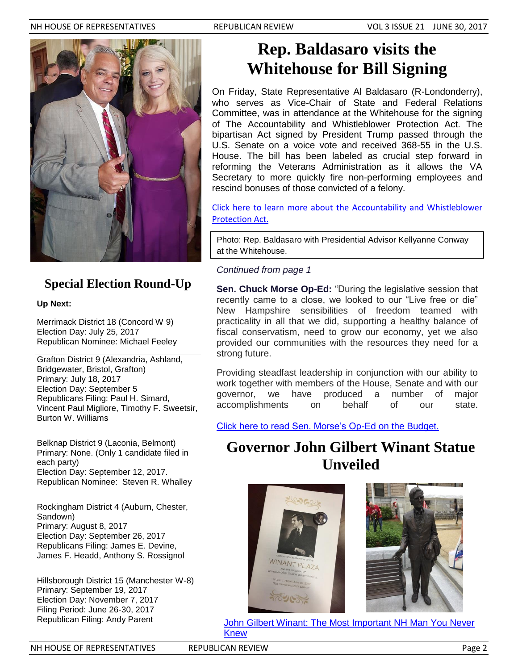#### NH HOUSE OF REPRESENTATIVES REPUBLICAN REVIEW VOL 3 ISSUE 21 JUNE 30, 2017



### **Special Election Round-Up**

#### **Up Next:**

Merrimack District 18 (Concord W 9) Election Day: July 25, 2017 Republican Nominee: Michael Feeley

Grafton District 9 (Alexandria, Ashland, Bridgewater, Bristol, Grafton) Primary: July 18, 2017 Election Day: September 5 Republicans Filing: Paul H. Simard, Vincent Paul Migliore, Timothy F. Sweetsir, Burton W. Williams

Belknap District 9 (Laconia, Belmont) Primary: None. (Only 1 candidate filed in each party) Election Day: September 12, 2017. Republican Nominee: Steven R. Whalley

Rockingham District 4 (Auburn, Chester, Sandown) Primary: August 8, 2017 Election Day: September 26, 2017 Republicans Filing: James E. Devine, James F. Headd, Anthony S. Rossignol

Hillsborough District 15 (Manchester W-8) Primary: September 19, 2017 Election Day: November 7, 2017 Filing Period: June 26-30, 2017 Republican Filing: Andy Parent

## **Rep. Baldasaro visits the Whitehouse for Bill Signing**

On Friday, State Representative Al Baldasaro (R-Londonderry), who serves as Vice-Chair of State and Federal Relations Committee, was in attendance at the Whitehouse for the signing of The Accountability and Whistleblower Protection Act. The bipartisan Act signed by President Trump passed through the U.S. Senate on a voice vote and received 368-55 in the U.S. House. The bill has been labeled as crucial step forward in reforming the Veterans Administration as it allows the VA Secretary to more quickly fire non-performing employees and rescind bonuses of those convicted of a felony.

[Click here to learn more about the Accountability and Whistleblower](http://thehill.com/homenews/administration/339168-trump-signs-va-reform-bill)  [Protection Act.](http://thehill.com/homenews/administration/339168-trump-signs-va-reform-bill)

Photo: Rep. Baldasaro with Presidential Advisor Kellyanne Conway at the Whitehouse.

#### *Continued from page 1*

**Sen. Chuck Morse Op-Ed:** "During the legislative session that recently came to a close, we looked to our "Live free or die" New Hampshire sensibilities of freedom teamed with practicality in all that we did, supporting a healthy balance of fiscal conservatism, need to grow our economy, yet we also provided our communities with the resources they need for a strong future.

Providing steadfast leadership in conjunction with our ability to work together with members of the House, Senate and with our governor, we have produced a number of major accomplishments on behalf of our state.

[Click here to read Sen. Morse's Op-Ed on the Budget.](https://patch.com/new-hampshire/concord-nh/morse-leading-new-hampshire-successful-future)

## **Governor John Gilbert Winant Statue Unveiled**





[John Gilbert Winant: The Most Important NH Man You Never](http://www.nhmagazine.com/June-2017/John-Gilbert-Winant-The-Most-Important-NH-Man-You-Never-Knew/)  [Knew](http://www.nhmagazine.com/June-2017/John-Gilbert-Winant-The-Most-Important-NH-Man-You-Never-Knew/)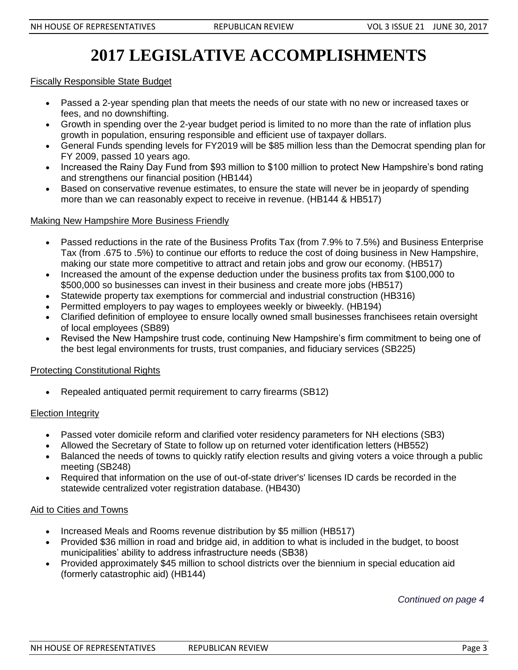# **2017 LEGISLATIVE ACCOMPLISHMENTS**

#### Fiscally Responsible State Budget

- Passed a 2-year spending plan that meets the needs of our state with no new or increased taxes or fees, and no downshifting.
- Growth in spending over the 2-year budget period is limited to no more than the rate of inflation plus growth in population, ensuring responsible and efficient use of taxpayer dollars.
- General Funds spending levels for FY2019 will be \$85 million less than the Democrat spending plan for FY 2009, passed 10 years ago.
- Increased the Rainy Day Fund from \$93 million to \$100 million to protect New Hampshire's bond rating and strengthens our financial position (HB144)
- Based on conservative revenue estimates, to ensure the state will never be in jeopardy of spending more than we can reasonably expect to receive in revenue. (HB144 & HB517)

#### Making New Hampshire More Business Friendly

- Passed reductions in the rate of the Business Profits Tax (from 7.9% to 7.5%) and Business Enterprise Tax (from .675 to .5%) to continue our efforts to reduce the cost of doing business in New Hampshire, making our state more competitive to attract and retain jobs and grow our economy. (HB517)
- Increased the amount of the expense deduction under the business profits tax from \$100,000 to \$500,000 so businesses can invest in their business and create more jobs (HB517)
- Statewide property tax exemptions for commercial and industrial construction (HB316)
- Permitted employers to pay wages to employees weekly or biweekly. (HB194)
- Clarified definition of employee to ensure locally owned small businesses franchisees retain oversight of local employees (SB89)
- Revised the New Hampshire trust code, continuing New Hampshire's firm commitment to being one of the best legal environments for trusts, trust companies, and fiduciary services (SB225)

#### Protecting Constitutional Rights

Repealed antiquated permit requirement to carry firearms (SB12)

#### Election Integrity

- Passed voter domicile reform and clarified voter residency parameters for NH elections (SB3)
- Allowed the Secretary of State to follow up on returned voter identification letters (HB552)
- Balanced the needs of towns to quickly ratify election results and giving voters a voice through a public meeting (SB248)
- Required that information on the use of out-of-state driver's' licenses ID cards be recorded in the statewide centralized voter registration database. (HB430)

#### Aid to Cities and Towns

- Increased Meals and Rooms revenue distribution by \$5 million (HB517)
- Provided \$36 million in road and bridge aid, in addition to what is included in the budget, to boost municipalities' ability to address infrastructure needs (SB38)
- Provided approximately \$45 million to school districts over the biennium in special education aid (formerly catastrophic aid) (HB144)

*Continued on page 4*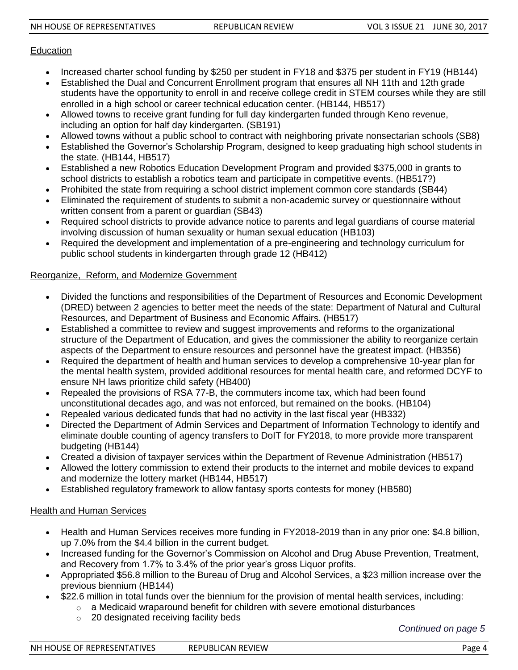#### **Education**

- Increased charter school funding by \$250 per student in FY18 and \$375 per student in FY19 (HB144)
- Established the Dual and Concurrent Enrollment program that ensures all NH 11th and 12th grade students have the opportunity to enroll in and receive college credit in STEM courses while they are still enrolled in a high school or career technical education center. (HB144, HB517)
- Allowed towns to receive grant funding for full day kindergarten funded through Keno revenue, including an option for half day kindergarten. (SB191)
- Allowed towns without a public school to contract with neighboring private nonsectarian schools (SB8)
- Established the Governor's Scholarship Program, designed to keep graduating high school students in the state. (HB144, HB517)
- Established a new Robotics Education Development Program and provided \$375,000 in grants to school districts to establish a robotics team and participate in competitive events. (HB517?)
- Prohibited the state from requiring a school district implement common core standards (SB44)
- Eliminated the requirement of students to submit a non-academic survey or questionnaire without written consent from a parent or guardian (SB43)
- Required school districts to provide advance notice to parents and legal guardians of course material involving discussion of human sexuality or human sexual education (HB103)
- Required the development and implementation of a pre-engineering and technology curriculum for public school students in kindergarten through grade 12 (HB412)

#### Reorganize, Reform, and Modernize Government

- Divided the functions and responsibilities of the Department of Resources and Economic Development (DRED) between 2 agencies to better meet the needs of the state: Department of Natural and Cultural Resources, and Department of Business and Economic Affairs. (HB517)
- Established a committee to review and suggest improvements and reforms to the organizational structure of the Department of Education, and gives the commissioner the ability to reorganize certain aspects of the Department to ensure resources and personnel have the greatest impact. (HB356)
- Required the department of health and human services to develop a comprehensive 10-year plan for the mental health system, provided additional resources for mental health care, and reformed DCYF to ensure NH laws prioritize child safety (HB400)
- Repealed the provisions of RSA 77-B, the commuters income tax, which had been found unconstitutional decades ago, and was not enforced, but remained on the books. (HB104)
- Repealed various dedicated funds that had no activity in the last fiscal year (HB332)
- Directed the Department of Admin Services and Department of Information Technology to identify and eliminate double counting of agency transfers to DoIT for FY2018, to more provide more transparent budgeting (HB144)
- Created a division of taxpayer services within the Department of Revenue Administration (HB517)
- Allowed the lottery commission to extend their products to the internet and mobile devices to expand and modernize the lottery market (HB144, HB517)
- Established regulatory framework to allow fantasy sports contests for money (HB580)

#### Health and Human Services

- Health and Human Services receives more funding in FY2018-2019 than in any prior one: \$4.8 billion, up 7.0% from the \$4.4 billion in the current budget.
- Increased funding for the Governor's Commission on Alcohol and Drug Abuse Prevention, Treatment, and Recovery from 1.7% to 3.4% of the prior year's gross Liquor profits.
- Appropriated \$56.8 million to the Bureau of Drug and Alcohol Services, a \$23 million increase over the previous biennium (HB144)
- \$22.6 million in total funds over the biennium for the provision of mental health services, including:
	- $\circ$  a Medicaid wraparound benefit for children with severe emotional disturbances
	- o 20 designated receiving facility beds

*Continued on page 5*